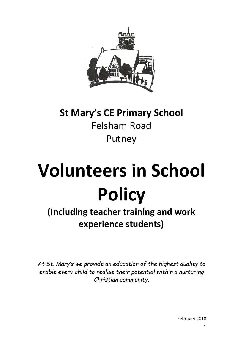

## **St Mary's CE Primary School** Felsham Road Putney

# **Volunteers in School Policy**

## **(Including teacher training and work experience students)**

*At St. Mary's we provide an education of the highest quality to enable every child to realise their potential within a nurturing Christian community.*

February 2018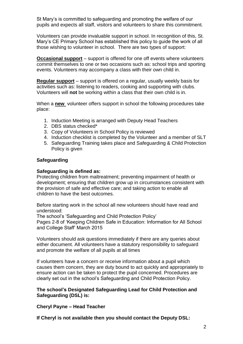St Mary's is committed to safeguarding and promoting the welfare of our pupils and expects all staff, visitors and volunteers to share this commitment.

Volunteers can provide invaluable support in school. In recognition of this, St. Mary's CE Primary School has established this policy to guide the work of all those wishing to volunteer in school. There are two types of support:

**Occasional support** – support is offered for one off events where volunteers commit themselves to one or two occasions such as: school trips and sporting events. Volunteers may accompany a class with their own child in.

**Regular support** – support is offered on a regular, usually weekly basis for activities such as: listening to readers, cooking and supporting with clubs. Volunteers will **not** be working within a class that their own child is in.

When a **new** volunteer offers support in school the following procedures take place:

- 1. Induction Meeting is arranged with Deputy Head Teachers
- 2. DBS status checked\*
- 3. Copy of Volunteers in School Policy is reviewed
- 4. Induction checklist is completed by the Volunteer and a member of SLT
- 5. Safeguarding Training takes place and Safeguarding & Child Protection Policy is given

#### **Safeguarding**

#### **Safeguarding is defined as:**

Protecting children from maltreatment; preventing impairment of health or development; ensuring that children grow up in circumstances consistent with the provision of safe and effective care; and taking action to enable all children to have the best outcomes.

Before starting work in the school all new volunteers should have read and understood:

The school's 'Safeguarding and Child Protection Policy'

Pages 2-8 of 'Keeping Children Safe in Education: Information for All School and College Staff' March 2015

Volunteers should ask questions immediately if there are any queries about either document. All volunteers have a statutory responsibility to safeguard and promote the welfare of all pupils at all times

If volunteers have a concern or receive information about a pupil which causes them concern, they are duty bound to act quickly and appropriately to ensure action can be taken to protect the pupil concerned. Procedures are clearly set out in the school's Safeguarding and Child Protection Policy.

#### **The school's Designated Safeguarding Lead for Child Protection and Safeguarding (DSL) is:**

**Cheryl Payne – Head Teacher**

**If Cheryl is not available then you should contact the Deputy DSL:**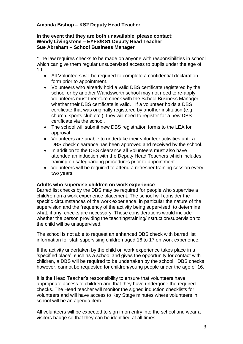#### **Amanda Bishop – KS2 Deputy Head Teacher**

#### **In the event that they are both unavailable, please contact: Wendy Livingstone – EYFS/KS1 Deputy Head Teacher Sue Abraham – School Business Manager**

\*The law requires checks to be made on anyone with responsibilities in school which can give them regular unsupervised access to pupils under the age of 19.

- All Volunteers will be required to complete a confidential declaration form prior to appointment.
- Volunteers who already hold a valid DBS certificate registered by the school or by another Wandsworth school may not need to re-apply. Volunteers must therefore check with the School Business Manager whether their DBS certificate is valid. If a volunteer holds a DBS certificate that was originally registered by another institution (e.g. church, sports club etc.), they will need to register for a new DBS certificate via the school.
- The school will submit new DBS registration forms to the LEA for approval.
- Volunteers are unable to undertake their volunteer activities until a DBS check clearance has been approved and received by the school.
- In addition to the DBS clearance all Volunteers must also have attended an induction with the Deputy Head Teachers which includes training on safeguarding procedures prior to appointment.
- Volunteers will be required to attend a refresher training session every two years.

#### **Adults who supervise children on work experience**

Barred list checks by the DBS may be required for people who supervise a child/ren on a work experience placement. The school will consider the specific circumstances of the work experience, in particular the nature of the supervision and the frequency of the activity being supervised, to determine what, if any, checks are necessary. These considerations would include whether the person providing the teaching/training/instruction/supervision to the child will be unsupervised.

The school is not able to request an enhanced DBS check with barred list information for staff supervising children aged 16 to 17 on work experience.

If the activity undertaken by the child on work experience takes place in a 'specified place', such as a school and gives the opportunity for contact with children, a DBS will be required to be undertaken by the school. DBS checks however, cannot be requested for children/young people under the age of 16.

It is the Head Teacher's responsibility to ensure that volunteers have appropriate access to children and that they have undergone the required checks. The Head teacher will monitor the signed induction checklists for volunteers and will have access to Key Stage minutes where volunteers in school will be an agenda item.

All volunteers will be expected to sign in on entry into the school and wear a visitors badge so that they can be identified at all times.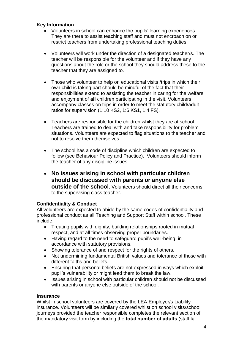#### **Key Information**

- Volunteers in school can enhance the pupils' learning experiences. They are there to assist teaching staff and must not encroach on or restrict teachers from undertaking professional teaching duties.
- Volunteers will work under the direction of a designated teacher/s. The teacher will be responsible for the volunteer and if they have any questions about the role or the school they should address these to the teacher that they are assigned to.
- Those who volunteer to help on educational visits /trips in which their own child is taking part should be mindful of the fact that their responsibilities extend to assisting the teacher in caring for the welfare and enjoyment of **all** children participating in the visit. Volunteers accompany classes on trips in order to meet the statutory child/adult ratios for supervision (1:10 KS2, 1:6 KS1, 1:4 FS).
- Teachers are responsible for the children whilst they are at school. Teachers are trained to deal with and take responsibility for problem situations. Volunteers are expected to flag situations to the teacher and not to resolve them themselves.
- The school has a code of discipline which children are expected to follow (see Behaviour Policy and Practice). Volunteers should inform the teacher of any discipline issues.
- **No issues arising in school with particular children should be discussed with parents or anyone else outside of the school**. Volunteers should direct all their concerns to the supervising class teacher.

#### **Confidentiality & Conduct**

All volunteers are expected to abide by the same codes of confidentiality and professional conduct as all Teaching and Support Staff within school. These include:

- Treating pupils with dignity, building relationships rooted in mutual respect, and at all times observing proper boundaries.
- Having regard to the need to safeguard pupil's well-being, in accordance with statutory provisions.
- Showing tolerance of and respect for the rights of others.
- Not undermining fundamental British values and tolerance of those with different faiths and beliefs.
- Ensuring that personal beliefs are not expressed in ways which exploit pupil's vulnerability or might lead them to break the law.
- Issues arising in school with particular children should not be discussed with parents or anyone else outside of the school.

#### **Insurance**

Whilst in school volunteers are covered by the LEA Employer/s Liability insurance. Volunteers will be similarly covered whilst on school visits/school journeys provided the teacher responsible completes the relevant section of the mandatory visit form by including the **total number of adults** (staff &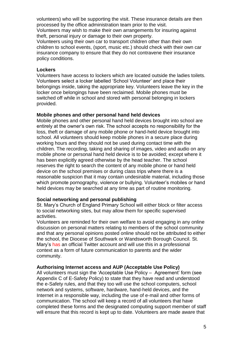volunteers) who will be supporting the visit. These insurance details are then processed by the office administration team prior to the visit.

Volunteers may wish to make their own arrangements for insuring against theft, personal injury or damage to their own property.

Volunteers using their own car to transport children other than their own children to school events, (sport, music etc.) should check with their own car insurance company to ensure that they do not contravene their insurance policy conditions.

#### **Lockers**

Volunteers have access to lockers which are located outside the ladies toilets. Volunteers select a locker labelled 'School Volunteer' and place their belongings inside, taking the appropriate key. Volunteers leave the key in the locker once belongings have been reclaimed. Mobile phones must be switched off while in school and stored with personal belonging in lockers provided.

#### **Mobile phones and other personal hand held devices**

Mobile phones and other personal hand held devices brought into school are entirely at the owner's own risk. The school accepts no responsibility for the loss, theft or damage of any mobile phone or hand-held device brought into school. All volunteers should keep mobile phones in a secure place during working hours and they should not be used during contact time with the children. The recording, taking and sharing of images, video and audio on any mobile phone or personal hand held device is to be avoided; except where it has been explicitly agreed otherwise by the head teacher. The school reserves the right to search the content of any mobile phone or hand held device on the school premises or during class trips where there is a reasonable suspicion that it may contain undesirable material, including those which promote pornography, violence or bullying. Volunteer's mobiles or hand held devices may be searched at any time as part of routine monitoring.

#### **Social networking and personal publishing**

St. Mary's Church of England Primary School will either block or filter access to social networking sites, but may allow them for specific supervised activities.

Volunteers are reminded for their own welfare to avoid engaging in any online discussion on personal matters relating to members of the school community and that any personal opinions posted online should not be attributed to either the school, the Diocese of Southwark or Wandsworth Borough Council. St. Mary's has an official Twitter account and will use this in a professional context as a form of future communication to parents and the wider community.

#### **Authorising Internet access and AUP (Acceptable Use Policy)**

All volunteers must sign the 'Acceptable Use Policy – Agreement' form (see Appendix C of E-Safety Policy) to state that they have read and understood the e-Safety rules, and that they too will use the school computers, school network and systems, software, hardware, hand-held devices, and the Internet in a responsible way, including the use of e-mail and other forms of communication. The school will keep a record of all volunteers that have completed these forms and the designated computing support member of staff will ensure that this record is kept up to date. Volunteers are made aware that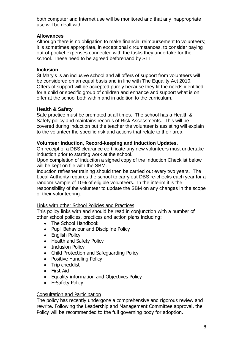both computer and Internet use will be monitored and that any inappropriate use will be dealt with.

#### **Allowances**

Although there is no obligation to make financial reimbursement to volunteers; it is sometimes appropriate, in exceptional circumstances, to consider paying out-of-pocket expenses connected with the tasks they undertake for the school. These need to be agreed beforehand by SLT.

#### **Inclusion**

St Mary's is an inclusive school and all offers of support from volunteers will be considered on an equal basis and in line with The Equality Act 2010. Offers of support will be accepted purely because they fit the needs identified for a child or specific group of children and enhance and support what is on offer at the school both within and in addition to the curriculum.

#### **Health & Safety**

Safe practice must be promoted at all times. The school has a Health & Safety policy and maintains records of Risk Assessments. This will be covered during induction but the teacher the volunteer is assisting will explain to the volunteer the specific risk and actions that relate to their area.

#### **Volunteer Induction, Record-keeping and Induction Updates.**

On receipt of a DBS clearance certificate any new volunteers must undertake induction prior to starting work at the school.

Upon completion of induction a signed copy of the Induction Checklist below will be kept on file with the SBM.

Induction refresher training should then be carried out every two years. The Local Authority requires the school to carry out DBS re-checks each year for a random sample of 10% of eligible volunteers. In the interim it is the responsibility of the volunteer to update the SBM on any changes in the scope of their volunteering.

#### Links with other School Policies and Practices

This policy links with and should be read in conjunction with a number of other school policies, practices and action plans including:

- The School Handbook
- Pupil Behaviour and Discipline Policy
- English Policy
- Health and Safety Policy
- Inclusion Policy
- Child Protection and Safeguarding Policy
- Positive Handling Policy
- Trip checklist
- First Aid
- **•** Equality information and Objectives Policy
- E-Safety Policy

#### Consultation and Participation

The policy has recently undergone a comprehensive and rigorous review and rewrite. Following the Leadership and Management Committee approval, the Policy will be recommended to the full governing body for adoption.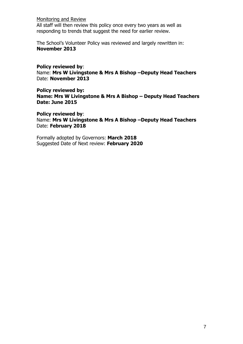Monitoring and Review

All staff will then review this policy once every two years as well as responding to trends that suggest the need for earlier review.

The School's Volunteer Policy was reviewed and largely rewritten in: **November 2013**

#### **Policy reviewed by**:

Name: **Mrs W Livingstone & Mrs A Bishop –Deputy Head Teachers** Date: **November 2013**

**Policy reviewed by: Name: Mrs W Livingstone & Mrs A Bishop – Deputy Head Teachers Date: June 2015**

**Policy reviewed by**: Name: **Mrs W Livingstone & Mrs A Bishop –Deputy Head Teachers** Date: **February 2018**

Formally adopted by Governors: **March 2018**  Suggested Date of Next review: **February 2020**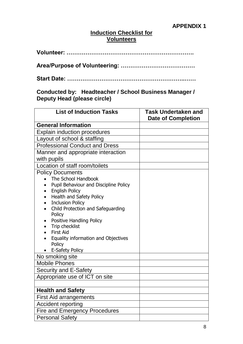#### **Induction Checklist for Volunteers**

|--|--|

**Area/Purpose of Volunteering: …………………………………**

**Start Date: ……………………………………………………..……**

**Conducted by: Headteacher / School Business Manager / Deputy Head (please circle)**

| <b>List of Induction Tasks</b>                                   | <b>Task Undertaken and</b><br><b>Date of Completion</b> |
|------------------------------------------------------------------|---------------------------------------------------------|
| <b>General Information</b>                                       |                                                         |
| <b>Explain induction procedures</b>                              |                                                         |
| Layout of school & staffing                                      |                                                         |
| <b>Professional Conduct and Dress</b>                            |                                                         |
| Manner and appropriate interaction                               |                                                         |
| with pupils                                                      |                                                         |
| Location of staff room/toilets                                   |                                                         |
| <b>Policy Documents</b>                                          |                                                         |
| The School Handbook                                              |                                                         |
| Pupil Behaviour and Discipline Policy                            |                                                         |
| <b>English Policy</b><br>$\bullet$                               |                                                         |
| Health and Safety Policy<br>$\bullet$<br><b>Inclusion Policy</b> |                                                         |
| Child Protection and Safeguarding<br>$\bullet$                   |                                                         |
| Policy                                                           |                                                         |
| <b>Positive Handling Policy</b><br>٠                             |                                                         |
| Trip checklist                                                   |                                                         |
| <b>First Aid</b>                                                 |                                                         |
| Equality information and Objectives                              |                                                         |
| Policy<br>E-Safety Policy                                        |                                                         |
| No smoking site                                                  |                                                         |
| <b>Mobile Phones</b>                                             |                                                         |
| Security and E-Safety                                            |                                                         |
| Appropriate use of ICT on site                                   |                                                         |
|                                                                  |                                                         |
| <b>Health and Safety</b>                                         |                                                         |
| <b>First Aid arrangements</b>                                    |                                                         |
| Accident reporting                                               |                                                         |
| <b>Fire and Emergency Procedures</b>                             |                                                         |
| <b>Personal Safety</b>                                           |                                                         |